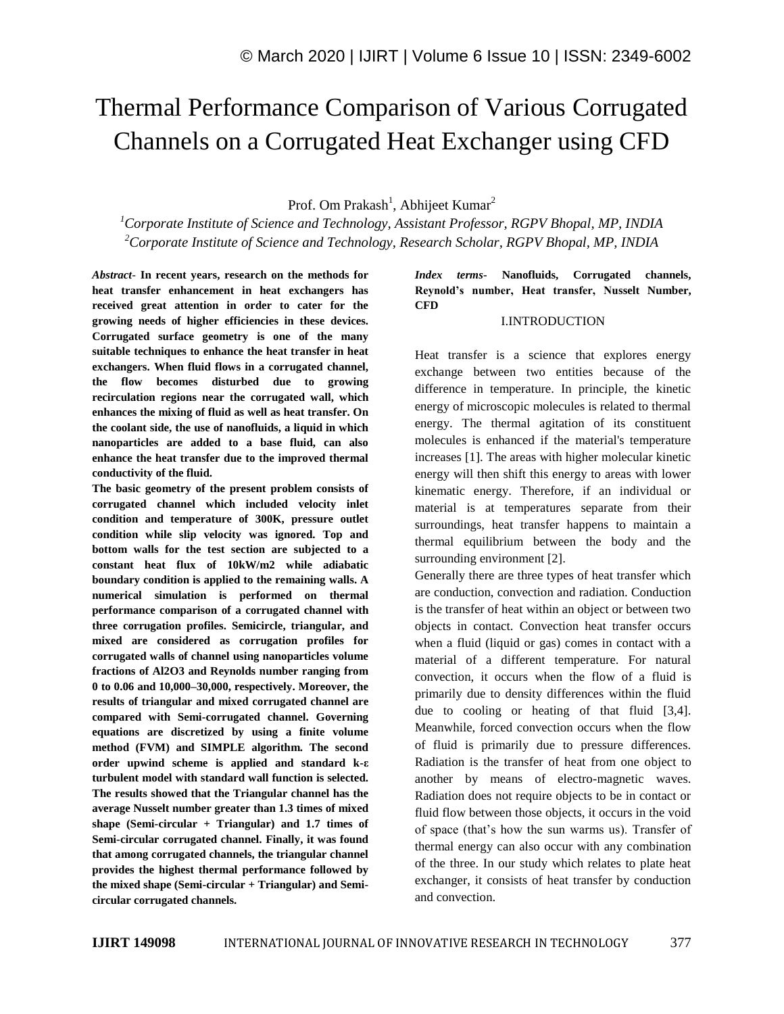# Thermal Performance Comparison of Various Corrugated Channels on a Corrugated Heat Exchanger using CFD

Prof. Om Prakash<sup>1</sup>, Abhijeet Kumar<sup>2</sup>

*<sup>1</sup>Corporate Institute of Science and Technology, Assistant Professor, RGPV Bhopal, MP, INDIA <sup>2</sup>Corporate Institute of Science and Technology, Research Scholar, RGPV Bhopal, MP, INDIA*

*Abstract*- **In recent years, research on the methods for heat transfer enhancement in heat exchangers has received great attention in order to cater for the growing needs of higher efficiencies in these devices. Corrugated surface geometry is one of the many suitable techniques to enhance the heat transfer in heat exchangers. When fluid flows in a corrugated channel, the flow becomes disturbed due to growing recirculation regions near the corrugated wall, which enhances the mixing of fluid as well as heat transfer. On the coolant side, the use of nanofluids, a liquid in which nanoparticles are added to a base fluid, can also enhance the heat transfer due to the improved thermal conductivity of the fluid.**

**The basic geometry of the present problem consists of corrugated channel which included velocity inlet condition and temperature of 300K, pressure outlet condition while slip velocity was ignored. Top and bottom walls for the test section are subjected to a constant heat flux of 10kW/m2 while adiabatic boundary condition is applied to the remaining walls. A numerical simulation is performed on thermal performance comparison of a corrugated channel with three corrugation profiles. Semicircle, triangular, and mixed are considered as corrugation profiles for corrugated walls of channel using nanoparticles volume fractions of Al2O3 and Reynolds number ranging from 0 to 0.06 and 10,000–30,000, respectively. Moreover, the results of triangular and mixed corrugated channel are compared with Semi-corrugated channel. Governing equations are discretized by using a finite volume method (FVM) and SIMPLE algorithm. The second order upwind scheme is applied and standard k-ε turbulent model with standard wall function is selected. The results showed that the Triangular channel has the average Nusselt number greater than 1.3 times of mixed shape (Semi-circular + Triangular) and 1.7 times of Semi-circular corrugated channel. Finally, it was found that among corrugated channels, the triangular channel provides the highest thermal performance followed by the mixed shape (Semi-circular + Triangular) and Semicircular corrugated channels.**

### *Index terms***- Nanofluids, Corrugated channels, Reynold's number, Heat transfer, Nusselt Number, CFD**

#### I.INTRODUCTION

Heat transfer is a science that explores energy exchange between two entities because of the difference in temperature. In principle, the kinetic energy of microscopic molecules is related to thermal energy. The thermal agitation of its constituent molecules is enhanced if the material's temperature increases [1]. The areas with higher molecular kinetic energy will then shift this energy to areas with lower kinematic energy. Therefore, if an individual or material is at temperatures separate from their surroundings, heat transfer happens to maintain a thermal equilibrium between the body and the surrounding environment [2].

Generally there are three types of heat transfer which are conduction, convection and radiation. Conduction is the transfer of heat within an object or between two objects in contact. Convection heat transfer occurs when a fluid (liquid or gas) comes in contact with a material of a different temperature. For natural convection, it occurs when the flow of a fluid is primarily due to density differences within the fluid due to cooling or heating of that fluid [3,4]. Meanwhile, forced convection occurs when the flow of fluid is primarily due to pressure differences. Radiation is the transfer of heat from one object to another by means of electro-magnetic waves. Radiation does not require objects to be in contact or fluid flow between those objects, it occurs in the void of space (that's how the sun warms us). Transfer of thermal energy can also occur with any combination of the three. In our study which relates to plate heat exchanger, it consists of heat transfer by conduction and convection.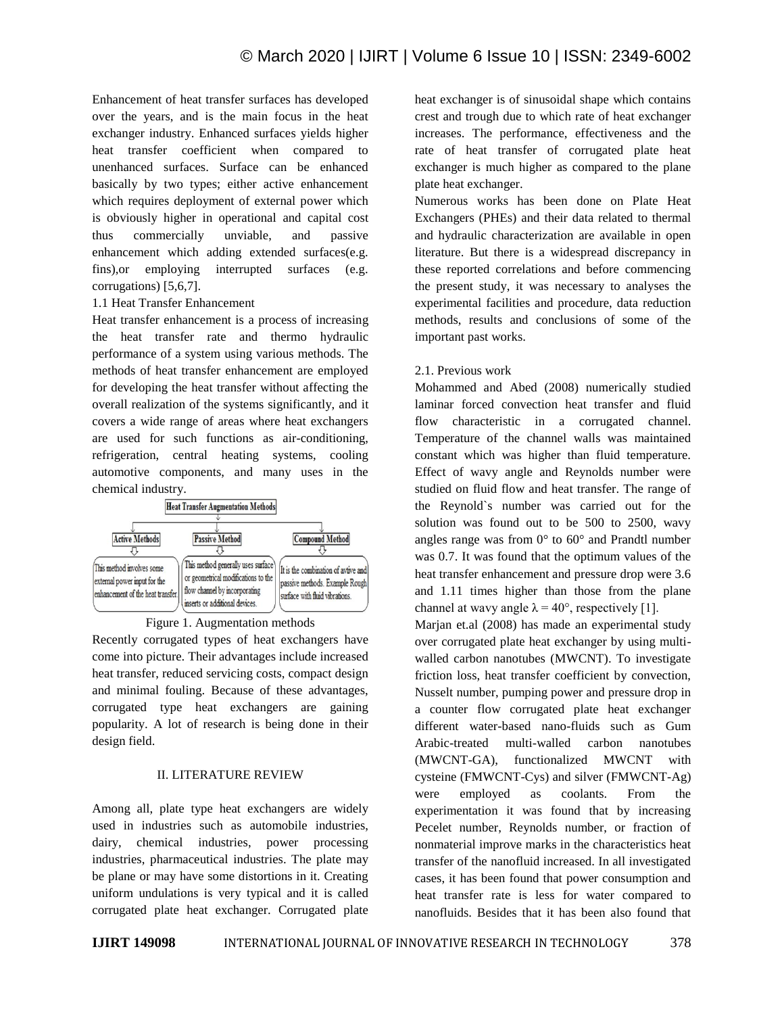Enhancement of heat transfer surfaces has developed over the years, and is the main focus in the heat exchanger industry. Enhanced surfaces yields higher heat transfer coefficient when compared to unenhanced surfaces. Surface can be enhanced basically by two types; either active enhancement which requires deployment of external power which is obviously higher in operational and capital cost thus commercially unviable, and passive enhancement which adding extended surfaces(e.g. fins),or employing interrupted surfaces (e.g. corrugations) [5,6,7].

## 1.1 Heat Transfer Enhancement

Heat transfer enhancement is a process of increasing the heat transfer rate and thermo hydraulic performance of a system using various methods. The methods of heat transfer enhancement are employed for developing the heat transfer without affecting the overall realization of the systems significantly, and it covers a wide range of areas where heat exchangers are used for such functions as air-conditioning, refrigeration, central heating systems, cooling automotive components, and many uses in the chemical industry.





Recently corrugated types of heat exchangers have come into picture. Their advantages include increased heat transfer, reduced servicing costs, compact design and minimal fouling. Because of these advantages, corrugated type heat exchangers are gaining popularity. A lot of research is being done in their design field.

## II. LITERATURE REVIEW

Among all, plate type heat exchangers are widely used in industries such as automobile industries, dairy, chemical industries, power processing industries, pharmaceutical industries. The plate may be plane or may have some distortions in it. Creating uniform undulations is very typical and it is called corrugated plate heat exchanger. Corrugated plate heat exchanger is of sinusoidal shape which contains crest and trough due to which rate of heat exchanger increases. The performance, effectiveness and the rate of heat transfer of corrugated plate heat exchanger is much higher as compared to the plane plate heat exchanger.

Numerous works has been done on Plate Heat Exchangers (PHEs) and their data related to thermal and hydraulic characterization are available in open literature. But there is a widespread discrepancy in these reported correlations and before commencing the present study, it was necessary to analyses the experimental facilities and procedure, data reduction methods, results and conclusions of some of the important past works.

## 2.1. Previous work

Mohammed and Abed (2008) numerically studied laminar forced convection heat transfer and fluid flow characteristic in a corrugated channel. Temperature of the channel walls was maintained constant which was higher than fluid temperature. Effect of wavy angle and Reynolds number were studied on fluid flow and heat transfer. The range of the Reynold`s number was carried out for the solution was found out to be 500 to 2500, wavy angles range was from  $0^{\circ}$  to  $60^{\circ}$  and Prandtl number was 0.7. It was found that the optimum values of the heat transfer enhancement and pressure drop were 3.6 and 1.11 times higher than those from the plane channel at wavy angle  $\lambda = 40^{\circ}$ , respectively [1].

Marjan et.al (2008) has made an experimental study over corrugated plate heat exchanger by using multiwalled carbon nanotubes (MWCNT). To investigate friction loss, heat transfer coefficient by convection, Nusselt number, pumping power and pressure drop in a counter flow corrugated plate heat exchanger different water-based nano-fluids such as Gum Arabic-treated multi-walled carbon nanotubes (MWCNT-GA), functionalized MWCNT with cysteine (FMWCNT-Cys) and silver (FMWCNT-Ag) were employed as coolants. From the experimentation it was found that by increasing Pecelet number, Reynolds number, or fraction of nonmaterial improve marks in the characteristics heat transfer of the nanofluid increased. In all investigated cases, it has been found that power consumption and heat transfer rate is less for water compared to nanofluids. Besides that it has been also found that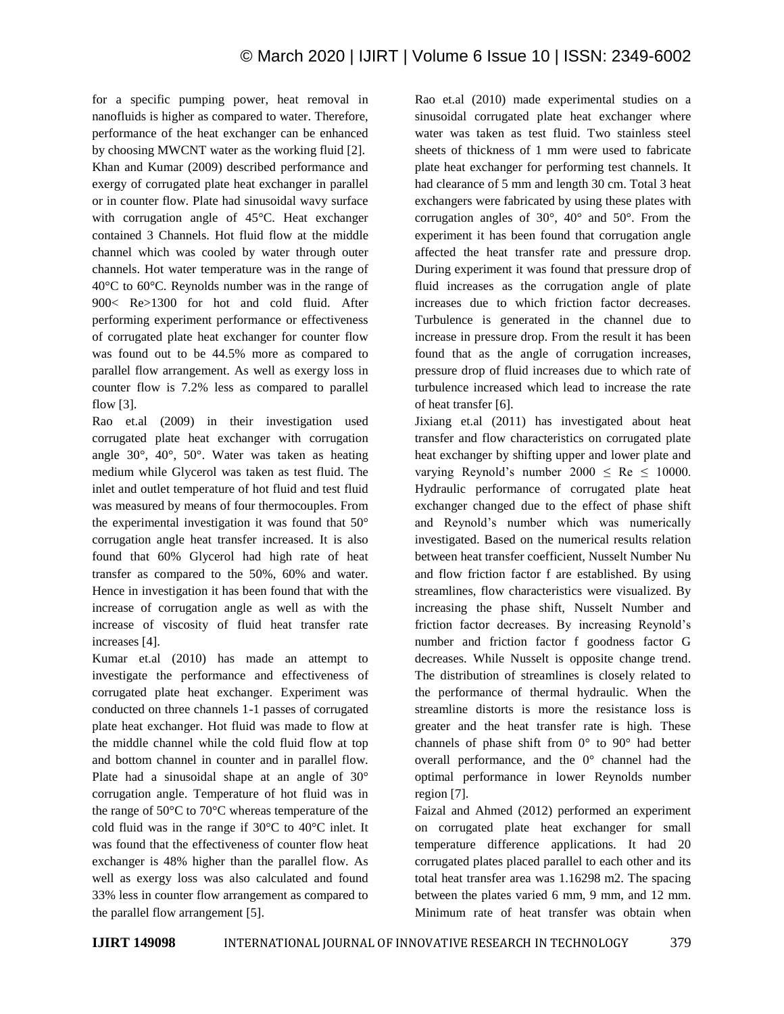for a specific pumping power, heat removal in nanofluids is higher as compared to water. Therefore, performance of the heat exchanger can be enhanced by choosing MWCNT water as the working fluid [2]. Khan and Kumar (2009) described performance and exergy of corrugated plate heat exchanger in parallel or in counter flow. Plate had sinusoidal wavy surface with corrugation angle of 45°C. Heat exchanger contained 3 Channels. Hot fluid flow at the middle channel which was cooled by water through outer channels. Hot water temperature was in the range of 40°C to 60°C. Reynolds number was in the range of 900< Re>1300 for hot and cold fluid. After performing experiment performance or effectiveness of corrugated plate heat exchanger for counter flow was found out to be 44.5% more as compared to parallel flow arrangement. As well as exergy loss in counter flow is 7.2% less as compared to parallel flow [3].

Rao et.al (2009) in their investigation used corrugated plate heat exchanger with corrugation angle 30°, 40°, 50°. Water was taken as heating medium while Glycerol was taken as test fluid. The inlet and outlet temperature of hot fluid and test fluid was measured by means of four thermocouples. From the experimental investigation it was found that 50° corrugation angle heat transfer increased. It is also found that 60% Glycerol had high rate of heat transfer as compared to the 50%, 60% and water. Hence in investigation it has been found that with the increase of corrugation angle as well as with the increase of viscosity of fluid heat transfer rate increases [4].

Kumar et.al (2010) has made an attempt to investigate the performance and effectiveness of corrugated plate heat exchanger. Experiment was conducted on three channels 1-1 passes of corrugated plate heat exchanger. Hot fluid was made to flow at the middle channel while the cold fluid flow at top and bottom channel in counter and in parallel flow. Plate had a sinusoidal shape at an angle of 30° corrugation angle. Temperature of hot fluid was in the range of 50°C to 70°C whereas temperature of the cold fluid was in the range if 30°C to 40°C inlet. It was found that the effectiveness of counter flow heat exchanger is 48% higher than the parallel flow. As well as exergy loss was also calculated and found 33% less in counter flow arrangement as compared to the parallel flow arrangement [5].

Rao et.al (2010) made experimental studies on a sinusoidal corrugated plate heat exchanger where water was taken as test fluid. Two stainless steel sheets of thickness of 1 mm were used to fabricate plate heat exchanger for performing test channels. It had clearance of 5 mm and length 30 cm. Total 3 heat exchangers were fabricated by using these plates with corrugation angles of 30°, 40° and 50°. From the experiment it has been found that corrugation angle affected the heat transfer rate and pressure drop. During experiment it was found that pressure drop of fluid increases as the corrugation angle of plate increases due to which friction factor decreases. Turbulence is generated in the channel due to increase in pressure drop. From the result it has been found that as the angle of corrugation increases, pressure drop of fluid increases due to which rate of turbulence increased which lead to increase the rate of heat transfer [6].

Jixiang et.al (2011) has investigated about heat transfer and flow characteristics on corrugated plate heat exchanger by shifting upper and lower plate and varying Reynold's number  $2000 \leq Re \leq 10000$ . Hydraulic performance of corrugated plate heat exchanger changed due to the effect of phase shift and Reynold's number which was numerically investigated. Based on the numerical results relation between heat transfer coefficient, Nusselt Number Nu and flow friction factor f are established. By using streamlines, flow characteristics were visualized. By increasing the phase shift, Nusselt Number and friction factor decreases. By increasing Reynold's number and friction factor f goodness factor G decreases. While Nusselt is opposite change trend. The distribution of streamlines is closely related to the performance of thermal hydraulic. When the streamline distorts is more the resistance loss is greater and the heat transfer rate is high. These channels of phase shift from  $0^{\circ}$  to  $90^{\circ}$  had better overall performance, and the 0° channel had the optimal performance in lower Reynolds number region [7].

Faizal and Ahmed (2012) performed an experiment on corrugated plate heat exchanger for small temperature difference applications. It had 20 corrugated plates placed parallel to each other and its total heat transfer area was 1.16298 m2. The spacing between the plates varied 6 mm, 9 mm, and 12 mm. Minimum rate of heat transfer was obtain when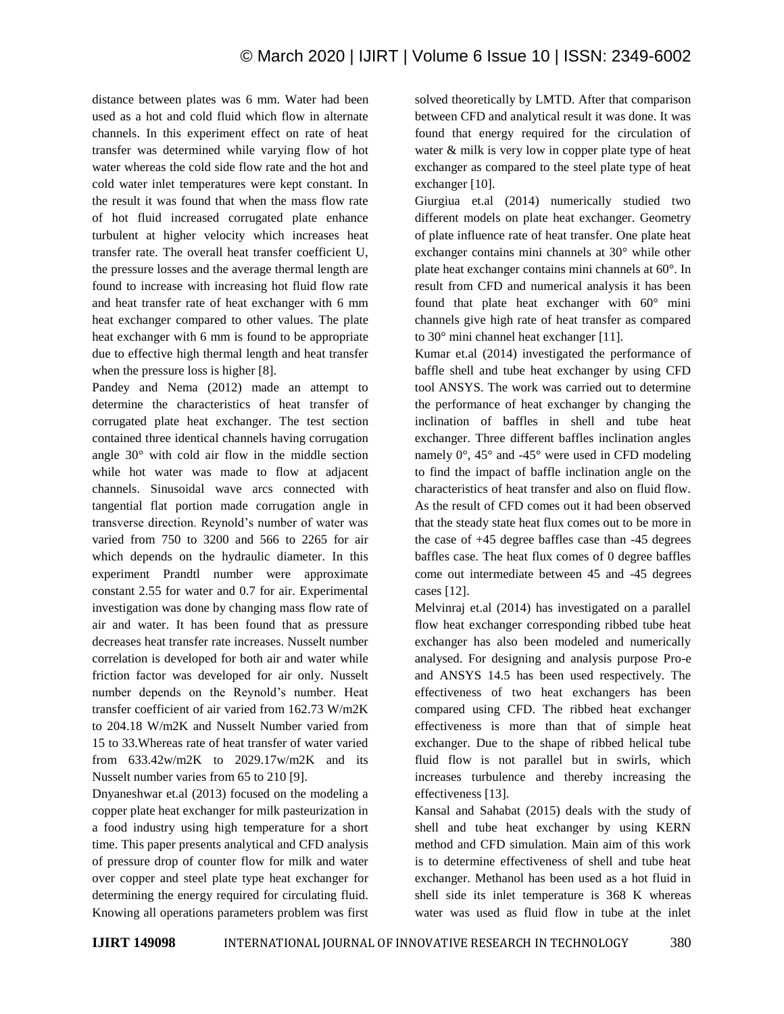distance between plates was 6 mm. Water had been used as a hot and cold fluid which flow in alternate channels. In this experiment effect on rate of heat transfer was determined while varying flow of hot water whereas the cold side flow rate and the hot and cold water inlet temperatures were kept constant. In the result it was found that when the mass flow rate of hot fluid increased corrugated plate enhance turbulent at higher velocity which increases heat transfer rate. The overall heat transfer coefficient U, the pressure losses and the average thermal length are found to increase with increasing hot fluid flow rate and heat transfer rate of heat exchanger with 6 mm heat exchanger compared to other values. The plate heat exchanger with 6 mm is found to be appropriate due to effective high thermal length and heat transfer when the pressure loss is higher [8].

Pandey and Nema (2012) made an attempt to determine the characteristics of heat transfer of corrugated plate heat exchanger. The test section contained three identical channels having corrugation angle 30° with cold air flow in the middle section while hot water was made to flow at adjacent channels. Sinusoidal wave arcs connected with tangential flat portion made corrugation angle in transverse direction. Reynold's number of water was varied from 750 to 3200 and 566 to 2265 for air which depends on the hydraulic diameter. In this experiment Prandtl number were approximate constant 2.55 for water and 0.7 for air. Experimental investigation was done by changing mass flow rate of air and water. It has been found that as pressure decreases heat transfer rate increases. Nusselt number correlation is developed for both air and water while friction factor was developed for air only. Nusselt number depends on the Reynold's number. Heat transfer coefficient of air varied from 162.73 W/m2K to 204.18 W/m2K and Nusselt Number varied from 15 to 33.Whereas rate of heat transfer of water varied from 633.42w/m2K to 2029.17w/m2K and its Nusselt number varies from 65 to 210 [9].

Dnyaneshwar et.al (2013) focused on the modeling a copper plate heat exchanger for milk pasteurization in a food industry using high temperature for a short time. This paper presents analytical and CFD analysis of pressure drop of counter flow for milk and water over copper and steel plate type heat exchanger for determining the energy required for circulating fluid. Knowing all operations parameters problem was first solved theoretically by LMTD. After that comparison between CFD and analytical result it was done. It was found that energy required for the circulation of water & milk is very low in copper plate type of heat exchanger as compared to the steel plate type of heat exchanger [10].

Giurgiua et.al (2014) numerically studied two different models on plate heat exchanger. Geometry of plate influence rate of heat transfer. One plate heat exchanger contains mini channels at 30° while other plate heat exchanger contains mini channels at 60°. In result from CFD and numerical analysis it has been found that plate heat exchanger with 60° mini channels give high rate of heat transfer as compared to 30° mini channel heat exchanger [11].

Kumar et.al (2014) investigated the performance of baffle shell and tube heat exchanger by using CFD tool ANSYS. The work was carried out to determine the performance of heat exchanger by changing the inclination of baffles in shell and tube heat exchanger. Three different baffles inclination angles namely  $0^{\circ}$ , 45° and -45° were used in CFD modeling to find the impact of baffle inclination angle on the characteristics of heat transfer and also on fluid flow. As the result of CFD comes out it had been observed that the steady state heat flux comes out to be more in the case of +45 degree baffles case than -45 degrees baffles case. The heat flux comes of 0 degree baffles come out intermediate between 45 and -45 degrees cases [12].

Melvinraj et.al (2014) has investigated on a parallel flow heat exchanger corresponding ribbed tube heat exchanger has also been modeled and numerically analysed. For designing and analysis purpose Pro-e and ANSYS 14.5 has been used respectively. The effectiveness of two heat exchangers has been compared using CFD. The ribbed heat exchanger effectiveness is more than that of simple heat exchanger. Due to the shape of ribbed helical tube fluid flow is not parallel but in swirls, which increases turbulence and thereby increasing the effectiveness [13].

Kansal and Sahabat (2015) deals with the study of shell and tube heat exchanger by using KERN method and CFD simulation. Main aim of this work is to determine effectiveness of shell and tube heat exchanger. Methanol has been used as a hot fluid in shell side its inlet temperature is 368 K whereas water was used as fluid flow in tube at the inlet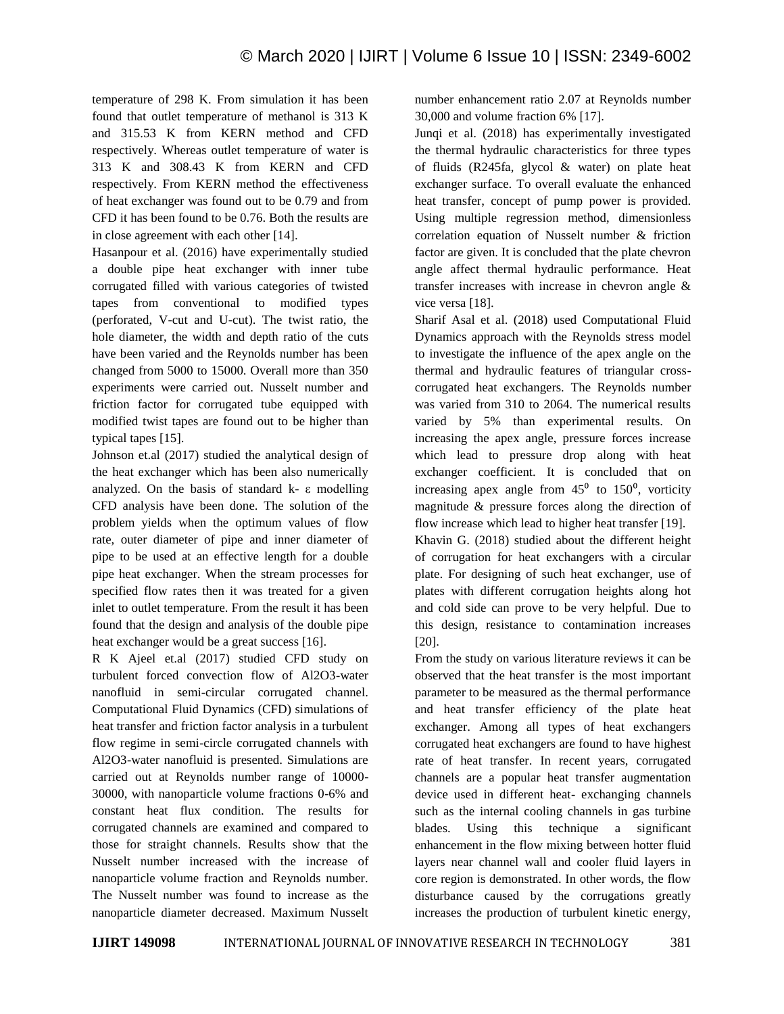temperature of 298 K. From simulation it has been found that outlet temperature of methanol is 313 K and 315.53 K from KERN method and CFD respectively. Whereas outlet temperature of water is 313 K and 308.43 K from KERN and CFD respectively. From KERN method the effectiveness of heat exchanger was found out to be 0.79 and from CFD it has been found to be 0.76. Both the results are in close agreement with each other [14].

Hasanpour et al. (2016) have experimentally studied a double pipe heat exchanger with inner tube corrugated filled with various categories of twisted tapes from conventional to modified types (perforated, V-cut and U-cut). The twist ratio, the hole diameter, the width and depth ratio of the cuts have been varied and the Reynolds number has been changed from 5000 to 15000. Overall more than 350 experiments were carried out. Nusselt number and friction factor for corrugated tube equipped with modified twist tapes are found out to be higher than typical tapes [15].

Johnson et.al (2017) studied the analytical design of the heat exchanger which has been also numerically analyzed. On the basis of standard k- ε modelling CFD analysis have been done. The solution of the problem yields when the optimum values of flow rate, outer diameter of pipe and inner diameter of pipe to be used at an effective length for a double pipe heat exchanger. When the stream processes for specified flow rates then it was treated for a given inlet to outlet temperature. From the result it has been found that the design and analysis of the double pipe heat exchanger would be a great success [16].

R K Ajeel et.al (2017) studied CFD study on turbulent forced convection flow of Al2O3-water nanofluid in semi-circular corrugated channel. Computational Fluid Dynamics (CFD) simulations of heat transfer and friction factor analysis in a turbulent flow regime in semi-circle corrugated channels with Al2O3-water nanofluid is presented. Simulations are carried out at Reynolds number range of 10000- 30000, with nanoparticle volume fractions 0-6% and constant heat flux condition. The results for corrugated channels are examined and compared to those for straight channels. Results show that the Nusselt number increased with the increase of nanoparticle volume fraction and Reynolds number. The Nusselt number was found to increase as the nanoparticle diameter decreased. Maximum Nusselt

number enhancement ratio 2.07 at Reynolds number 30,000 and volume fraction 6% [17].

Junqi et al. (2018) has experimentally investigated the thermal hydraulic characteristics for three types of fluids (R245fa, glycol & water) on plate heat exchanger surface. To overall evaluate the enhanced heat transfer, concept of pump power is provided. Using multiple regression method, dimensionless correlation equation of Nusselt number & friction factor are given. It is concluded that the plate chevron angle affect thermal hydraulic performance. Heat transfer increases with increase in chevron angle & vice versa [18].

Sharif Asal et al. (2018) used Computational Fluid Dynamics approach with the Reynolds stress model to investigate the influence of the apex angle on the thermal and hydraulic features of triangular crosscorrugated heat exchangers. The Reynolds number was varied from 310 to 2064. The numerical results varied by 5% than experimental results. On increasing the apex angle, pressure forces increase which lead to pressure drop along with heat exchanger coefficient. It is concluded that on increasing apex angle from  $45^{\circ}$  to  $150^{\circ}$ , vorticity magnitude & pressure forces along the direction of flow increase which lead to higher heat transfer [19].

Khavin G. (2018) studied about the different height of corrugation for heat exchangers with a circular plate. For designing of such heat exchanger, use of plates with different corrugation heights along hot and cold side can prove to be very helpful. Due to this design, resistance to contamination increases [20].

From the study on various literature reviews it can be observed that the heat transfer is the most important parameter to be measured as the thermal performance and heat transfer efficiency of the plate heat exchanger. Among all types of heat exchangers corrugated heat exchangers are found to have highest rate of heat transfer. In recent years, corrugated channels are a popular heat transfer augmentation device used in different heat- exchanging channels such as the internal cooling channels in gas turbine blades. Using this technique a significant enhancement in the flow mixing between hotter fluid layers near channel wall and cooler fluid layers in core region is demonstrated. In other words, the flow disturbance caused by the corrugations greatly increases the production of turbulent kinetic energy,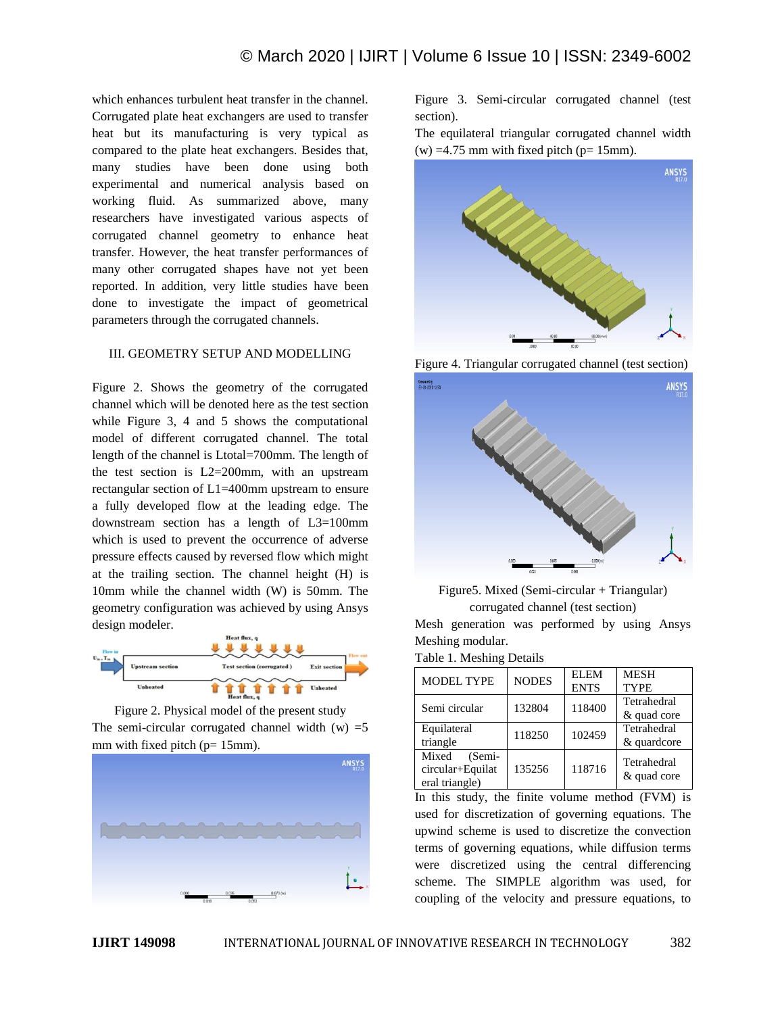which enhances turbulent heat transfer in the channel. Corrugated plate heat exchangers are used to transfer heat but its manufacturing is very typical as compared to the plate heat exchangers. Besides that, many studies have been done using both experimental and numerical analysis based on working fluid. As summarized above, many researchers have investigated various aspects of corrugated channel geometry to enhance heat transfer. However, the heat transfer performances of many other corrugated shapes have not yet been reported. In addition, very little studies have been done to investigate the impact of geometrical parameters through the corrugated channels.

## III. GEOMETRY SETUP AND MODELLING

Figure 2. Shows the geometry of the corrugated channel which will be denoted here as the test section while Figure 3, 4 and 5 shows the computational model of different corrugated channel. The total length of the channel is Ltotal=700mm. The length of the test section is L2=200mm, with an upstream rectangular section of L1=400mm upstream to ensure a fully developed flow at the leading edge. The downstream section has a length of L3=100mm which is used to prevent the occurrence of adverse pressure effects caused by reversed flow which might at the trailing section. The channel height (H) is 10mm while the channel width (W) is 50mm. The geometry configuration was achieved by using Ansys design modeler.



Figure 2. Physical model of the present study The semi-circular corrugated channel width  $(w) = 5$ mm with fixed pitch ( $p= 15$ mm).



Figure 3. Semi-circular corrugated channel (test section).

The equilateral triangular corrugated channel width  $(w)$  =4.75 mm with fixed pitch ( $p= 15$ mm).



Figure 4. Triangular corrugated channel (test section)



Figure5. Mixed (Semi-circular + Triangular) corrugated channel (test section)

Mesh generation was performed by using Ansys Meshing modular.

Table 1. Meshing Details

| <b>MODEL TYPE</b> | <b>NODES</b> | <b>ELEM</b> | <b>MESH</b> |
|-------------------|--------------|-------------|-------------|
|                   |              | <b>ENTS</b> | <b>TYPE</b> |
| Semi circular     | 132804       | 118400      | Tetrahedral |
|                   |              |             | & quad core |
| Equilateral       | 118250       | 102459      | Tetrahedral |
| triangle          |              |             | & quardcore |
| Mixed<br>(Semi-   |              |             | Tetrahedral |
| circular+Equilat  | 135256       | 118716      |             |
| eral triangle)    |              |             | & quad core |

In this study, the finite volume method (FVM) is used for discretization of governing equations. The upwind scheme is used to discretize the convection terms of governing equations, while diffusion terms were discretized using the central differencing scheme. The SIMPLE algorithm was used, for coupling of the velocity and pressure equations, to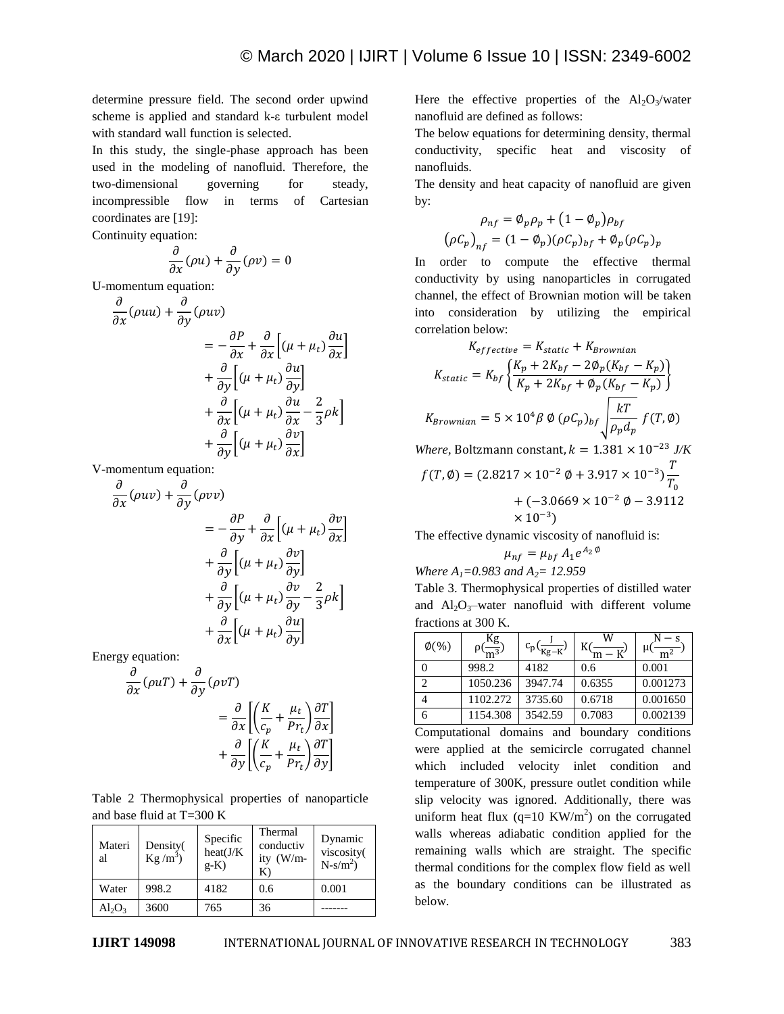determine pressure field. The second order upwind scheme is applied and standard k-ε turbulent model with standard wall function is selected.

In this study, the single-phase approach has been used in the modeling of nanofluid. Therefore, the two-dimensional governing for steady, incompressible flow in terms of Cartesian coordinates are [19]:

Continuity equation:

$$
\frac{\partial}{\partial x}(\rho u) + \frac{\partial}{\partial y}(\rho v) = 0
$$

U-momentum equation:

$$
\frac{\partial}{\partial x}(\rho uu) + \frac{\partial}{\partial y}(\rho uv)
$$
\n
$$
= -\frac{\partial P}{\partial x} + \frac{\partial}{\partial x} \left[ (\mu + \mu_t) \frac{\partial u}{\partial x} \right]
$$
\n
$$
+ \frac{\partial}{\partial y} \left[ (\mu + \mu_t) \frac{\partial u}{\partial y} \right]
$$
\n
$$
+ \frac{\partial}{\partial x} \left[ (\mu + \mu_t) \frac{\partial u}{\partial x} - \frac{2}{3} \rho k \right]
$$
\n
$$
+ \frac{\partial}{\partial y} \left[ (\mu + \mu_t) \frac{\partial v}{\partial x} \right]
$$

V-momentum equation:

$$
\frac{\partial}{\partial x}(\rho uv) + \frac{\partial}{\partial y}(\rho vv)
$$
\n
$$
= -\frac{\partial P}{\partial y} + \frac{\partial}{\partial x} \left[ (\mu + \mu_t) \frac{\partial v}{\partial x} \right]
$$
\n
$$
+ \frac{\partial}{\partial y} \left[ (\mu + \mu_t) \frac{\partial v}{\partial y} \right]
$$
\n
$$
+ \frac{\partial}{\partial y} \left[ (\mu + \mu_t) \frac{\partial v}{\partial y} - \frac{2}{3} \rho k \right]
$$
\n
$$
+ \frac{\partial}{\partial x} \left[ (\mu + \mu_t) \frac{\partial u}{\partial y} \right]
$$

Energy equation:

$$
\frac{\partial}{\partial x}(\rho uT) + \frac{\partial}{\partial y}(\rho vT)
$$
\n
$$
= \frac{\partial}{\partial x} \left[ \left( \frac{K}{c_p} + \frac{\mu_t}{Pr_t} \right) \frac{\partial T}{\partial x} \right]
$$
\n
$$
+ \frac{\partial}{\partial y} \left[ \left( \frac{K}{c_p} + \frac{\mu_t}{Pr_t} \right) \frac{\partial T}{\partial y} \right]
$$

Table 2 Thermophysical properties of nanoparticle and base fluid at T=300 K

| Materi<br>al | Density(<br>$Kg/m^3$ | Specific<br>heat(J/K<br>$g-K$ ) | Thermal<br>conductiv<br>ity (W/m-<br>К | Dynamic<br>viscosity(<br>$N-s/m^2$ ) |
|--------------|----------------------|---------------------------------|----------------------------------------|--------------------------------------|
| Water        | 998.2                | 4182                            | 0.6                                    | 0.001                                |
| $Al_2O_3$    | 3600                 | 765                             | 36                                     |                                      |

Here the effective properties of the  $Al_2O_3/water$ nanofluid are defined as follows:

The below equations for determining density, thermal conductivity, specific heat and viscosity of nanofluids.

The density and heat capacity of nanofluid are given by:

$$
\rho_{nf} = \phi_p \rho_p + (1 - \phi_p) \rho_{bf}
$$

$$
(\rho C_p)_{nf} = (1 - \phi_p)(\rho C_p)_{bf} + \phi_p(\rho C_p)_{p}
$$

In order to compute the effective thermal conductivity by using nanoparticles in corrugated channel, the effect of Brownian motion will be taken into consideration by utilizing the empirical correlation below:

$$
K_{effective} = K_{static} + K_{Brownian}
$$
  
\n
$$
K_{static} = K_{bf} \left\{ \frac{K_p + 2K_{bf} - 2\phi_p (K_{bf} - K_p)}{K_p + 2K_{bf} + \phi_p (K_{bf} - K_p)} \right\}
$$
  
\n
$$
K_{Brownian} = 5 \times 10^4 \beta \phi (\rho C_p)_{bf} \sqrt{\frac{kT}{\rho_p d_p}} f(T, \phi)
$$

*Where, Boltzmann constant,*  $k = 1.381 \times 10^{-23}$  *J/K* 

$$
f(T, \emptyset) = (2.8217 \times 10^{-2} \phi + 3.917 \times 10^{-3}) \frac{T}{T_0}
$$
  
+ (-3.0669 \times 10^{-2} \phi - 3.9112  
\times 10^{-3})

The effective dynamic viscosity of nanofluid is:

$$
\mu_{nf} = \mu_{bf} A_1 e^{A_2 \theta}
$$

*Where A1=0.983 and A2= 12.959*

Table 3. Thermophysical properties of distilled water and  $Al_2O_3$ -water nanofluid with different volume fractions at 300 K.

| $\phi(\%)$ | $m^{3}$  | $c_p(\frac{1}{Kg-K})$ | W      |          |
|------------|----------|-----------------------|--------|----------|
|            | 998.2    | 4182                  | 0.6    | 0.001    |
| C          | 1050.236 | 3947.74               | 0.6355 | 0.001273 |
|            | 1102.272 | 3735.60               | 0.6718 | 0.001650 |
| n          | 1154.308 | 3542.59               | 0.7083 | 0.002139 |

Computational domains and boundary conditions were applied at the semicircle corrugated channel which included velocity inlet condition and temperature of 300K, pressure outlet condition while slip velocity was ignored. Additionally, there was uniform heat flux  $(q=10 \text{ KW/m}^2)$  on the corrugated walls whereas adiabatic condition applied for the remaining walls which are straight. The specific thermal conditions for the complex flow field as well as the boundary conditions can be illustrated as below.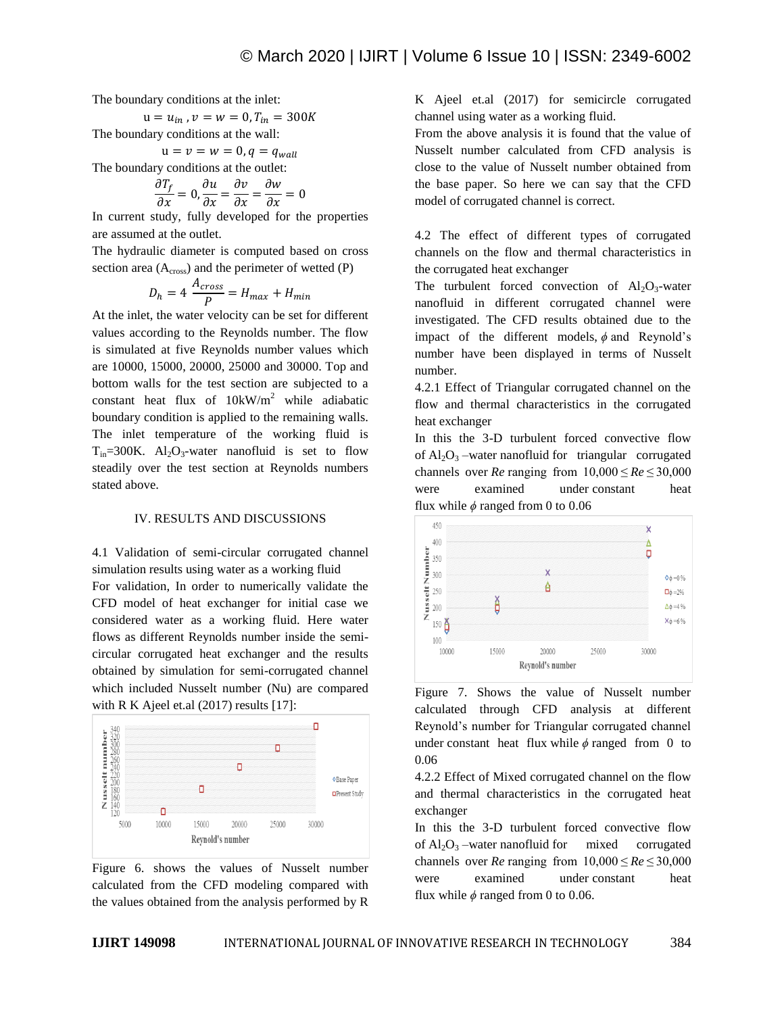The boundary conditions at the inlet:

$$
u = u_{in}, v = w = 0, T_{in} = 300K
$$

The boundary conditions at the wall:  $u = v = w = 0, q = q_{wall}$ 

The boundary conditions at the outlet:

$$
\frac{\partial T_f}{\partial x} = 0, \frac{\partial u}{\partial x} = \frac{\partial v}{\partial x} = \frac{\partial w}{\partial x} = 0
$$

In current study, fully developed for the properties are assumed at the outlet.

The hydraulic diameter is computed based on cross section area  $(A<sub>cross</sub>)$  and the perimeter of wetted  $(P)$ 

$$
D_h = 4 \frac{A_{cross}}{P} = H_{max} + H_{min}
$$

At the inlet, the water velocity can be set for different values according to the Reynolds number. The flow is simulated at five Reynolds number values which are 10000, 15000, 20000, 25000 and 30000. Top and bottom walls for the test section are subjected to a constant heat flux of  $10kW/m^2$  while adiabatic boundary condition is applied to the remaining walls. The inlet temperature of the working fluid is  $T_{in}$ =300K. Al<sub>2</sub>O<sub>3</sub>-water nanofluid is set to flow steadily over the test section at Reynolds numbers stated above.

#### IV. RESULTS AND DISCUSSIONS

4.1 Validation of semi-circular corrugated channel simulation results using water as a working fluid

For validation, In order to numerically validate the CFD model of heat exchanger for initial case we considered water as a working fluid. Here water flows as different Reynolds number inside the semicircular corrugated heat exchanger and the results obtained by simulation for semi-corrugated channel which included Nusselt number (Nu) are compared with R K Ajeel et.al (2017) results [17]:



Figure 6. shows the values of Nusselt number calculated from the CFD modeling compared with the values obtained from the analysis performed by R

K Ajeel et.al (2017) for semicircle corrugated channel using water as a working fluid.

From the above analysis it is found that the value of Nusselt number calculated from CFD analysis is close to the value of Nusselt number obtained from the base paper. So here we can say that the CFD model of corrugated channel is correct.

4.2 The effect of different types of corrugated channels on the flow and thermal characteristics in the corrugated heat exchanger

The turbulent forced convection of  $Al_2O_3$ -water nanofluid in different corrugated channel were investigated. The CFD results obtained due to the impact of the different models,  $\phi$  and Reynold's number have been displayed in terms of Nusselt number.

4.2.1 Effect of Triangular corrugated channel on the flow and thermal characteristics in the corrugated heat exchanger

In this the 3-D turbulent forced convective flow of  $Al_2O_3$  –water nanofluid for triangular corrugated channels over *Re* ranging from  $10,000 \leq Re \leq 30,000$ were examined under constant heat flux while  $\phi$  ranged from 0 to 0.06



Figure 7. Shows the value of Nusselt number calculated through CFD analysis at different Reynold's number for Triangular corrugated channel under constant heat flux while  $\phi$  ranged from 0 to 0.06

4.2.2 Effect of Mixed corrugated channel on the flow and thermal characteristics in the corrugated heat exchanger

In this the 3-D turbulent forced convective flow of  $Al_2O_3$  –water nanofluid for mixed corrugated channels over *Re* ranging from  $10,000 \leq Re \leq 30,000$ were examined under constant heat flux while  $\phi$  ranged from 0 to 0.06.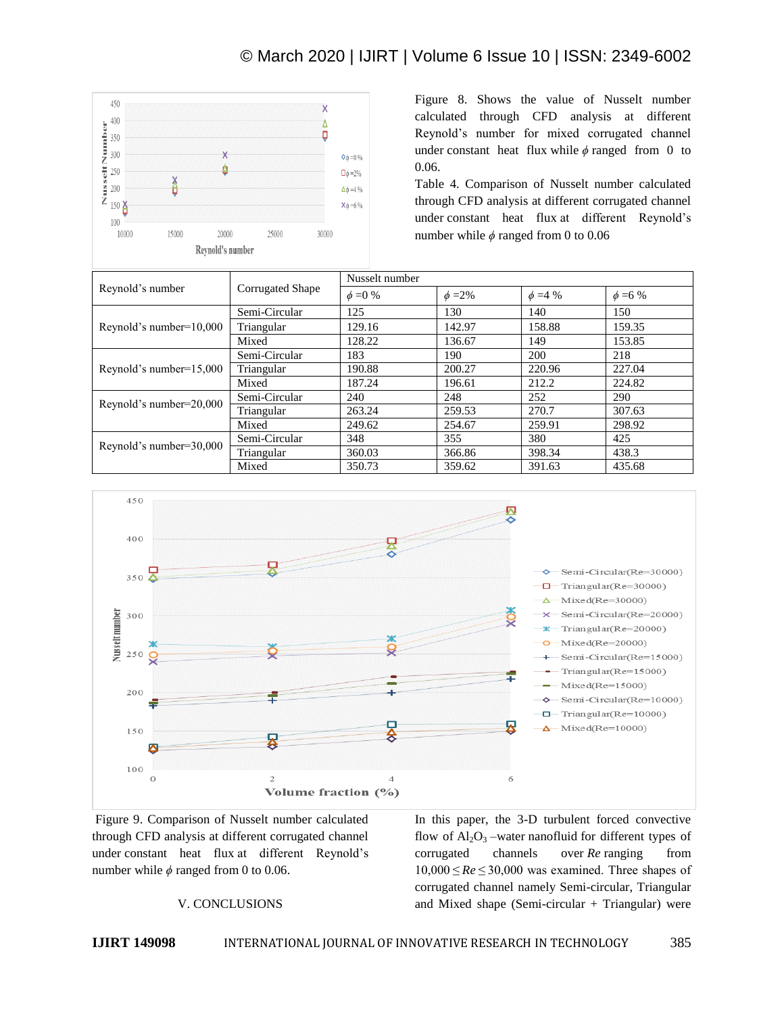

Figure 8. Shows the value of Nusselt number calculated through CFD analysis at different Reynold's number for mixed corrugated channel under constant heat flux while  $\phi$  ranged from 0 to 0.06.

Table 4. Comparison of Nusselt number calculated through CFD analysis at different corrugated channel under constant heat flux at different Reynold's number while  $\phi$  ranged from 0 to 0.06

|                            | Corrugated Shape | Nusselt number |              |               |               |
|----------------------------|------------------|----------------|--------------|---------------|---------------|
| Reynold's number           |                  | $\phi = 0 \%$  | $\phi = 2\%$ | $\phi = 4 \%$ | $\phi = 6 \%$ |
| Reynold's number= $10,000$ | Semi-Circular    | 125            | 130          | 140           | 150           |
|                            | Triangular       | 129.16         | 142.97       | 158.88        | 159.35        |
|                            | Mixed            | 128.22         | 136.67       | 149           | 153.85        |
| Reynold's number=15,000    | Semi-Circular    | 183            | 190          | 200           | 218           |
|                            | Triangular       | 190.88         | 200.27       | 220.96        | 227.04        |
|                            | Mixed            | 187.24         | 196.61       | 212.2         | 224.82        |
| Reynold's number=20,000    | Semi-Circular    | 240            | 248          | 252           | 290           |
|                            | Triangular       | 263.24         | 259.53       | 270.7         | 307.63        |
|                            | Mixed            | 249.62         | 254.67       | 259.91        | 298.92        |
| Reynold's number=30,000    | Semi-Circular    | 348            | 355          | 380           | 425           |
|                            | Triangular       | 360.03         | 366.86       | 398.34        | 438.3         |
|                            | Mixed            | 350.73         | 359.62       | 391.63        | 435.68        |



Figure 9. Comparison of Nusselt number calculated through CFD analysis at different corrugated channel under constant heat flux at different Reynold's number while  $\phi$  ranged from 0 to 0.06.

## V. CONCLUSIONS

In this paper, the 3-D turbulent forced convective flow of  $Al_2O_3$  –water nanofluid for different types of corrugated channels over *Re* ranging from 10,000 ≤ *Re* ≤ 30,000 was examined. Three shapes of corrugated channel namely Semi-circular, Triangular and Mixed shape (Semi-circular  $+$  Triangular) were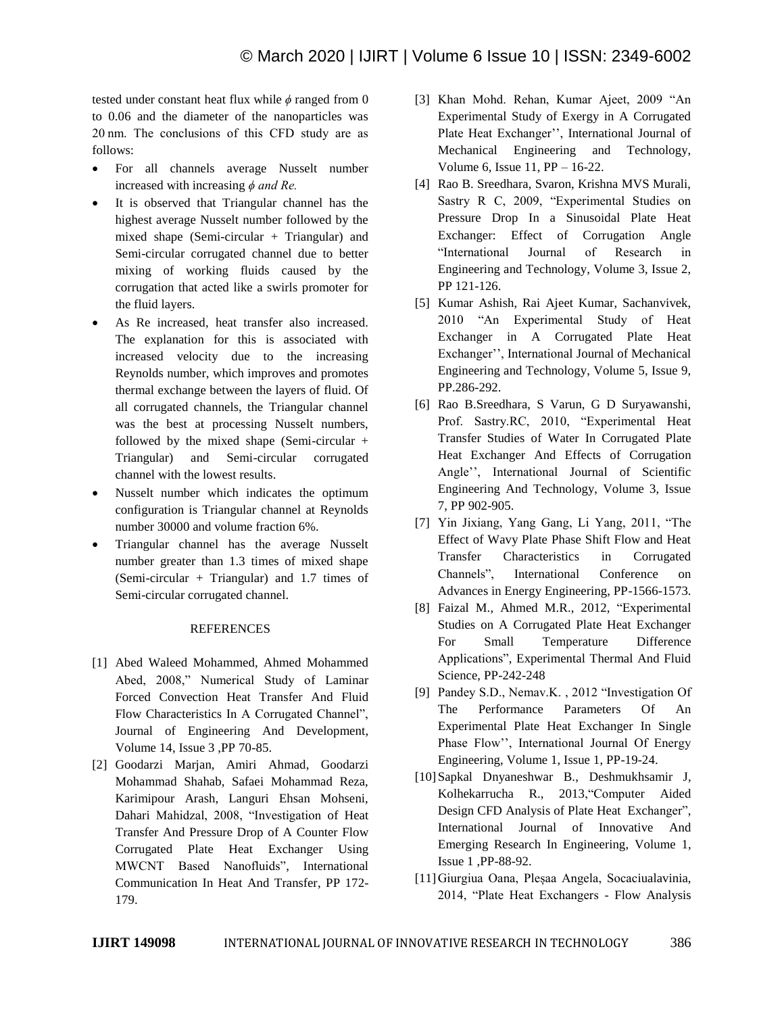tested under constant heat flux while  $\phi$  ranged from 0 to 0.06 and the diameter of the nanoparticles was 20 nm. The conclusions of this CFD study are as follows:

- For all channels average Nusselt number increased with increasing *ϕ and Re.*
- It is observed that Triangular channel has the highest average Nusselt number followed by the mixed shape (Semi-circular + Triangular) and Semi-circular corrugated channel due to better mixing of working fluids caused by the corrugation that acted like a swirls promoter for the fluid layers.
- As Re increased, heat transfer also increased. The explanation for this is associated with increased velocity due to the increasing Reynolds number, which improves and promotes thermal exchange between the layers of fluid. Of all corrugated channels, the Triangular channel was the best at processing Nusselt numbers, followed by the mixed shape (Semi-circular + Triangular) and Semi-circular corrugated channel with the lowest results.
- Nusselt number which indicates the optimum configuration is Triangular channel at Reynolds number 30000 and volume fraction 6%.
- Triangular channel has the average Nusselt number greater than 1.3 times of mixed shape (Semi-circular + Triangular) and 1.7 times of Semi-circular corrugated channel.

## REFERENCES

- [1] Abed Waleed Mohammed, Ahmed Mohammed Abed, 2008," Numerical Study of Laminar Forced Convection Heat Transfer And Fluid Flow Characteristics In A Corrugated Channel", Journal of Engineering And Development, Volume 14, Issue 3 ,PP 70-85.
- [2] Goodarzi Marjan, Amiri Ahmad, Goodarzi Mohammad Shahab, Safaei Mohammad Reza, Karimipour Arash, Languri Ehsan Mohseni, Dahari Mahidzal, 2008, "Investigation of Heat Transfer And Pressure Drop of A Counter Flow Corrugated Plate Heat Exchanger Using MWCNT Based Nanofluids", International Communication In Heat And Transfer, PP 172- 179.
- [3] Khan Mohd. Rehan, Kumar Ajeet, 2009 "An Experimental Study of Exergy in A Corrugated Plate Heat Exchanger'', International Journal of Mechanical Engineering and Technology, Volume 6, Issue 11, PP – 16-22.
- [4] Rao B. Sreedhara, Svaron, Krishna MVS Murali, Sastry R C, 2009, "Experimental Studies on Pressure Drop In a Sinusoidal Plate Heat Exchanger: Effect of Corrugation Angle "International Journal of Research in Engineering and Technology, Volume 3, Issue 2, PP 121-126.
- [5] Kumar Ashish, Rai Ajeet Kumar, Sachanvivek, 2010 "An Experimental Study of Heat Exchanger in A Corrugated Plate Heat Exchanger'', International Journal of Mechanical Engineering and Technology, Volume 5, Issue 9, PP.286-292.
- [6] Rao B.Sreedhara, S Varun, G D Suryawanshi, Prof. Sastry.RC, 2010, "Experimental Heat Transfer Studies of Water In Corrugated Plate Heat Exchanger And Effects of Corrugation Angle'', International Journal of Scientific Engineering And Technology, Volume 3, Issue 7, PP 902-905.
- [7] Yin Jixiang, Yang Gang, Li Yang, 2011, "The Effect of Wavy Plate Phase Shift Flow and Heat Transfer Characteristics in Corrugated Channels", International Conference on Advances in Energy Engineering, PP-1566-1573.
- [8] Faizal M., Ahmed M.R., 2012, "Experimental Studies on A Corrugated Plate Heat Exchanger For Small Temperature Difference Applications", Experimental Thermal And Fluid Science, PP-242-248
- [9] Pandey S.D., Nemav.K. , 2012 "Investigation Of The Performance Parameters Of An Experimental Plate Heat Exchanger In Single Phase Flow'', International Journal Of Energy Engineering, Volume 1, Issue 1, PP-19-24.
- [10]Sapkal Dnyaneshwar B., Deshmukhsamir J, Kolhekarrucha R., 2013,"Computer Aided Design CFD Analysis of Plate Heat Exchanger", International Journal of Innovative And Emerging Research In Engineering, Volume 1, Issue 1 ,PP-88-92.
- [11]Giurgiua Oana, Pleșaa Angela, Socaciualavinia, 2014, "Plate Heat Exchangers - Flow Analysis